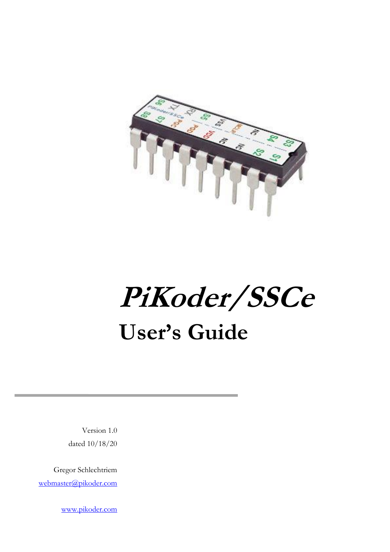

## **PiKoder/SSCe User's Guide**

Version 1.0 dated 10/18/20

Gregor Schlechtriem [webmaster@pikoder.com](mailto:webmaster@pikoder.com)

[www.pikoder.com](http://www.pikoder.com/)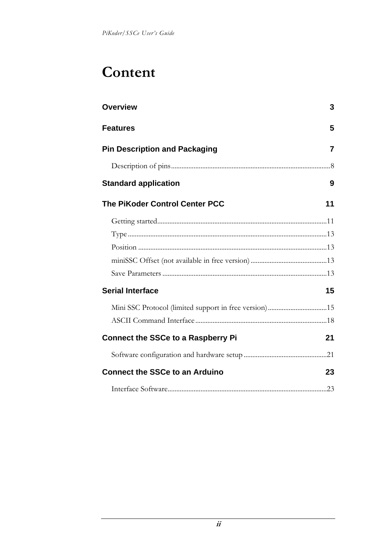## **Content**

| <b>Overview</b>                           | 3  |
|-------------------------------------------|----|
| <b>Features</b>                           | 5  |
| <b>Pin Description and Packaging</b>      | 7  |
|                                           |    |
| <b>Standard application</b>               | 9  |
| The PiKoder Control Center PCC            | 11 |
|                                           |    |
|                                           |    |
|                                           |    |
|                                           |    |
|                                           |    |
| <b>Serial Interface</b>                   | 15 |
|                                           |    |
|                                           |    |
| <b>Connect the SSCe to a Raspberry Pi</b> | 21 |
|                                           |    |
| <b>Connect the SSCe to an Arduino</b>     | 23 |
|                                           |    |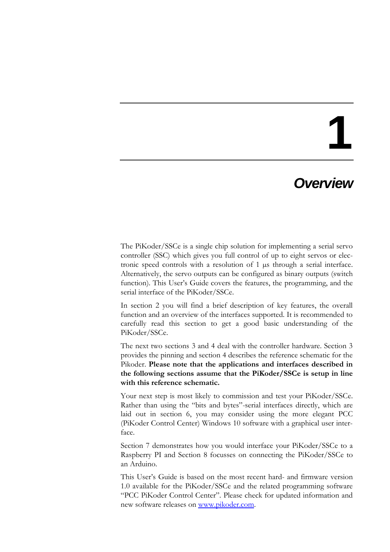### *Overview*

The PiKoder/SSCe is a single chip solution for implementing a serial servo controller (SSC) which gives you full control of up to eight servos or electronic speed controls with a resolution of 1 µs through a serial interface. Alternatively, the servo outputs can be configured as binary outputs (switch function). This User's Guide covers the features, the programming, and the serial interface of the PiKoder/SSCe.

In section 2 you will find a brief description of key features, the overall function and an overview of the interfaces supported. It is recommended to carefully read this section to get a good basic understanding of the PiKoder/SSCe.

The next two sections 3 and 4 deal with the controller hardware. Section 3 provides the pinning and section 4 describes the reference schematic for the Pikoder. **Please note that the applications and interfaces described in the following sections assume that the PiKoder/SSCe is setup in line with this reference schematic.**

Your next step is most likely to commission and test your PiKoder/SSCe. Rather than using the "bits and bytes"-serial interfaces directly, which are laid out in section 6, you may consider using the more elegant PCC (PiKoder Control Center) Windows 10 software with a graphical user interface.

Section 7 demonstrates how you would interface your PiKoder/SSCe to a Raspberry PI and Section 8 focusses on connecting the PiKoder/SSCe to an Arduino.

This User's Guide is based on the most recent hard- and firmware version 1.0 available for the PiKoder/SSCe and the related programming software "PCC PiKoder Control Center". Please check for updated information and new software releases on [www.pikoder.com.](http://www.pikoder.com/)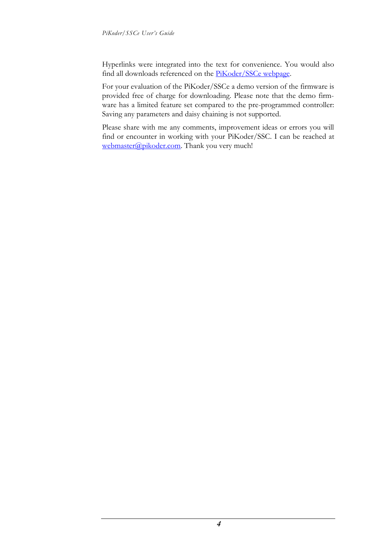Hyperlinks were integrated into the text for convenience. You would also find all downloads referenced on the **PiKoder/SSCe webpage**.

For your evaluation of the PiKoder/SSCe a demo version of the firmware is provided free of charge for downloading. Please note that the demo firmware has a limited feature set compared to the pre-programmed controller: Saving any parameters and daisy chaining is not supported.

Please share with me any comments, improvement ideas or errors you will find or encounter in working with your PiKoder/SSC. I can be reached at [webmaster@pikoder.com.](mailto:webmaster@pikoder.com) Thank you very much!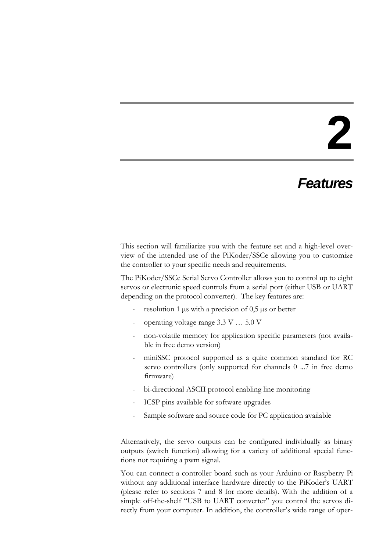### *Features*

This section will familiarize you with the feature set and a high-level overview of the intended use of the PiKoder/SSCe allowing you to customize the controller to your specific needs and requirements.

The PiKoder/SSCe Serial Servo Controller allows you to control up to eight servos or electronic speed controls from a serial port (either USB or UART depending on the protocol converter). The key features are:

- resolution 1  $\mu$ s with a precision of 0,5  $\mu$ s or better
- operating voltage range 3.3 V ... 5.0 V
- non-volatile memory for application specific parameters (not available in free demo version)
- miniSSC protocol supported as a quite common standard for RC servo controllers (only supported for channels 0 ...7 in free demo firmware)
- bi-directional ASCII protocol enabling line monitoring
- ICSP pins available for software upgrades
- Sample software and source code for PC application available

Alternatively, the servo outputs can be configured individually as binary outputs (switch function) allowing for a variety of additional special functions not requiring a pwm signal.

You can connect a controller board such as your Arduino or Raspberry Pi without any additional interface hardware directly to the PiKoder's UART (please refer to sections 7 and 8 for more details). With the addition of a simple off-the-shelf "USB to UART converter" you control the servos directly from your computer. In addition, the controller's wide range of oper-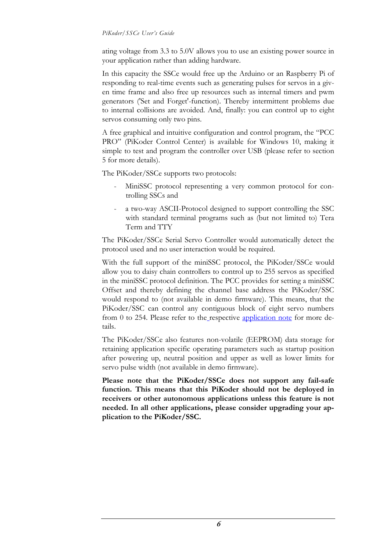#### *PiKoder/SSCe User's Guide*

ating voltage from 3.3 to 5.0V allows you to use an existing power source in your application rather than adding hardware.

In this capacity the SSCe would free up the Arduino or an Raspberry Pi of responding to real-time events such as generating pulses for servos in a given time frame and also free up resources such as internal timers and pwm generators ('Set and Forget'-function). Thereby intermittent problems due to internal collisions are avoided. And, finally: you can control up to eight servos consuming only two pins.

A free graphical and intuitive configuration and control program, the "PCC PRO" (PiKoder Control Center) is available for Windows 10, making it simple to test and program the controller over USB (please refer to section 5 for more details).

The PiKoder/SSCe supports two protocols:

- MiniSSC protocol representing a very common protocol for controlling SSCs and
- a two-way ASCII-Protocol designed to support controlling the SSC with standard terminal programs such as (but not limited to) Tera Term and TTY

The PiKoder/SSCe Serial Servo Controller would automatically detect the protocol used and no user interaction would be required.

With the full support of the miniSSC protocol, the PiKoder/SSCe would allow you to daisy chain controllers to control up to 255 servos as specified in the miniSSC protocol definition. The PCC provides for setting a miniSSC Offset and thereby defining the channel base address the PiKoder/SSC would respond to (not available in demo firmware). This means, that the PiKoder/SSC can control any contiguous block of eight servo numbers from 0 to 254. Please refer to the respective [application note](http://www.pikoder.de/download/AN02%20-%20Daisy%20Chaining.pdf) for more details.

The PiKoder/SSCe also features non-volatile (EEPROM) data storage for retaining application specific operating parameters such as startup position after powering up, neutral position and upper as well as lower limits for servo pulse width (not available in demo firmware).

**Please note that the PiKoder/SSCe does not support any fail-safe function. This means that this PiKoder should not be deployed in receivers or other autonomous applications unless this feature is not needed. In all other applications, please consider upgrading your application to the PiKoder/SSC.**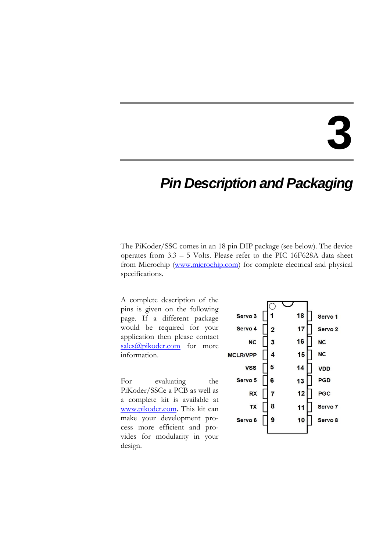### *Pin Description and Packaging*

The PiKoder/SSC comes in an 18 pin DIP package (see below). The device operates from 3.3 – 5 Volts. Please refer to the PIC 16F628A data sheet from Microchip [\(www.microchip.com\)](http://www.microchip.com/) for complete electrical and physical specifications.

A complete description of the pins is given on the following page. If a different package would be required for your application then please contact [sales@pikoder.com](mailto:sales@pikoder.com) for more information.

For evaluating the PiKoder/SSCe a PCB as well as a complete kit is available at [www.pikoder.com.](http://www.pikoder.com/) This kit can make your development process more efficient and provides for modularity in your design.

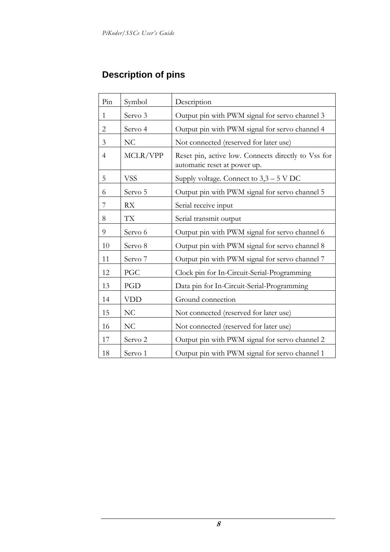### **Description of pins**

| Pin            | Symbol             | Description                                                                         |  |  |
|----------------|--------------------|-------------------------------------------------------------------------------------|--|--|
| $\mathbf{1}$   | Servo 3            | Output pin with PWM signal for servo channel 3                                      |  |  |
| $\overline{2}$ | Servo 4            | Output pin with PWM signal for servo channel 4                                      |  |  |
| 3              | NC                 | Not connected (reserved for later use)                                              |  |  |
| 4              | MCLR/VPP           | Reset pin, active low. Connects directly to Vss for<br>automatic reset at power up. |  |  |
| 5              | <b>VSS</b>         | Supply voltage. Connect to $3,3-5$ V DC                                             |  |  |
| 6              | Servo 5            | Output pin with PWM signal for servo channel 5                                      |  |  |
| 7              | <b>RX</b>          | Serial receive input                                                                |  |  |
| 8              | TX                 | Serial transmit output                                                              |  |  |
| 9              | Servo 6            | Output pin with PWM signal for servo channel 6                                      |  |  |
| 10             | Servo 8            | Output pin with PWM signal for servo channel 8                                      |  |  |
| 11             | Servo 7            | Output pin with PWM signal for servo channel 7                                      |  |  |
| 12             | PGC                | Clock pin for In-Circuit-Serial-Programming                                         |  |  |
| 13             | PGD                | Data pin for In-Circuit-Serial-Programming                                          |  |  |
| 14             | <b>VDD</b>         | Ground connection                                                                   |  |  |
| 15             | NC                 | Not connected (reserved for later use)                                              |  |  |
| 16             | NC                 | Not connected (reserved for later use)                                              |  |  |
| 17             | Servo <sub>2</sub> | Output pin with PWM signal for servo channel 2                                      |  |  |
| 18             | Servo 1            | Output pin with PWM signal for servo channel 1                                      |  |  |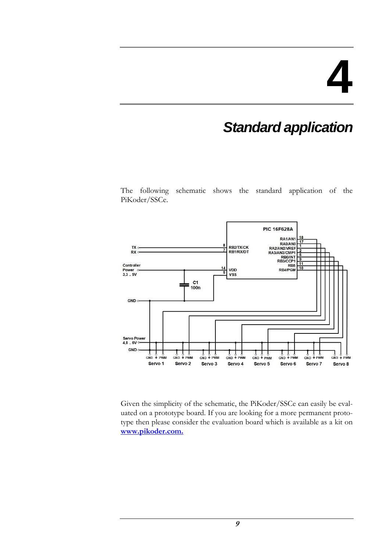### *Standard application*

The following schematic shows the standard application of the PiKoder/SSCe.



Given the simplicity of the schematic, the PiKoder/SSCe can easily be evaluated on a prototype board. If you are looking for a more permanent prototype then please consider the evaluation board which is available as a kit on **[www.pikoder.com.](http://www.pikoder.com/)**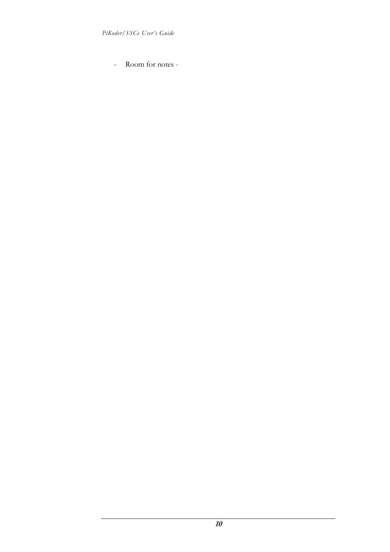- Room for notes -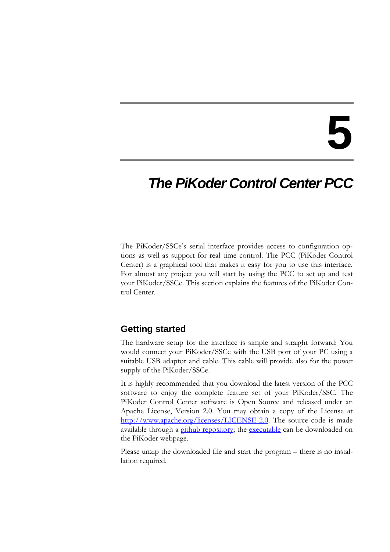### *The PiKoder Control Center PCC*

The PiKoder/SSCe's serial interface provides access to configuration options as well as support for real time control. The PCC (PiKoder Control Center) is a graphical tool that makes it easy for you to use this interface. For almost any project you will start by using the PCC to set up and test your PiKoder/SSCe. This section explains the features of the PiKoder Control Center.

#### **Getting started**

The hardware setup for the interface is simple and straight forward: You would connect your PiKoder/SSCe with the USB port of your PC using a suitable USB adaptor and cable. This cable will provide also for the power supply of the PiKoder/SSCe.

It is highly recommended that you download the latest version of the PCC software to enjoy the complete feature set of your PiKoder/SSC. The PiKoder Control Center software is Open Source and released under an Apache License, Version 2.0. You may obtain a copy of the License at [http://www.apache.org/licenses/LICENSE-2.0.](http://www.apache.org/licenses/LICENSE-2.0) The source code is made available through a [github repository;](https://github.com/Pikoder/PCC_PiKoder_Control_Center) the [executable](http://www.pikoder.de/download/PCC%20PiKoder%20Control%20Center.zip) can be downloaded on the PiKoder webpage.

Please unzip the downloaded file and start the program – there is no installation required.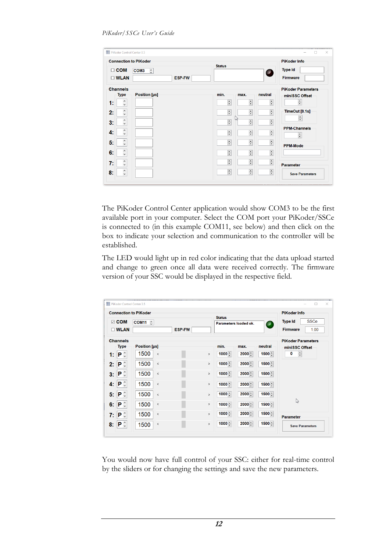| $\Box$ COM<br>$\square$ WLAN   | <b>Connection to PiKoder</b><br>COM <sub>3</sub><br>$\hat{\cdot}$<br><b>ESP-FW</b> | <b>Status</b>             |                           | O                        | <b>PiKoder Info</b><br><b>Type Id</b><br><b>Firmware</b> |
|--------------------------------|------------------------------------------------------------------------------------|---------------------------|---------------------------|--------------------------|----------------------------------------------------------|
| <b>Channels</b><br><b>Type</b> | Position [µs]                                                                      | min.                      | max.                      | neutral                  | <b>PiKoder Parameters</b><br>miniSSC Offset              |
| ٨<br>1:<br>$\checkmark$        |                                                                                    | $\frac{1}{\tau}$          | $\frac{1}{2}$             | $\frac{1}{\sqrt{2}}$     | $\div$                                                   |
| $\hat{\cdot}$<br>2:            |                                                                                    | $\frac{\bullet}{\bullet}$ | $\div$                    | $\div$                   | TimeOut [0.1s]                                           |
| ٨<br>3:<br>$\checkmark$        |                                                                                    | $\frac{1}{\sqrt{2}}$      | lм<br>$\div$              | $\div$                   | 高                                                        |
| $\hat{\phantom{a}}$<br>4:      |                                                                                    | $\frac{1}{\tau}$          | $\overline{\mathbf{H}}$   | $\frac{1}{\pi}$          | <b>PPM-Channels</b><br>÷                                 |
| ٨<br>5:<br>$\checkmark$        |                                                                                    | $\frac{1}{\sqrt{2}}$      | $\frac{1}{\bullet}$       | $\div$                   | <b>PPM-Mode</b>                                          |
| $\hat{\phantom{a}}$<br>6:      |                                                                                    | $\frac{\bullet}{\bullet}$ | $\frac{1}{\sqrt{2}}$      | $\div$                   |                                                          |
| $\hat{\cdot}$<br>7:            |                                                                                    | $\frac{1}{\tau}$          | $\frac{1}{\pi}$           | $\frac{1}{\tau}$         | <b>Parameter</b>                                         |
| ٨<br>8:<br>$\checkmark$        |                                                                                    | $\frac{1}{\sqrt{2}}$      | $\frac{\bullet}{\bullet}$ | $\overline{\phantom{a}}$ | <b>Save Parameters</b>                                   |

The PiKoder Control Center application would show COM3 to be the first available port in your computer. Select the COM port your PiKoder/SSCe is connected to (in this example COM11, see below) and then click on the box to indicate your selection and communication to the controller will be established.

The LED would light up in red color indicating that the data upload started and change to green once all data were received correctly. The firmware version of your SSC would be displayed in the respective field.

|    |                                        | <b>Connection to PiKoder</b> |               |               | <b>Status</b>         |          |                          | <b>PiKoder Info</b>                                      |
|----|----------------------------------------|------------------------------|---------------|---------------|-----------------------|----------|--------------------------|----------------------------------------------------------|
|    | $\boxdot$ COM<br><b>DWLAN</b>          | $COM11$ $\hat{C}$            | <b>ESP-FW</b> |               | Parameters loaded ok. |          | $\overline{\phantom{a}}$ | <b>SSCe</b><br><b>Type Id</b><br><b>Firmware</b><br>1.00 |
|    | <b>Channels</b>                        |                              |               |               |                       |          |                          | <b>PiKoder Parameters</b>                                |
|    | <b>Type</b>                            | Position [µs]                |               |               | min.                  | max.     | neutral                  | miniSSC Offset                                           |
| 1: | $\mathbf{P} \circ$                     | 1500<br>$\hat{}$             |               | $\rightarrow$ | $1000 -$              | $2000 -$ | 1500 음                   | $\frac{1}{\sqrt{2}}$<br>0                                |
| 2: | $\mathbf{P} \circ$                     | 1500<br>$\checkmark$         |               | $\rightarrow$ | $1000 -$              | $2000 -$ | $1500 -$                 |                                                          |
| 3: | $\mathbf{P} \mathop{}_{\circ}^{\circ}$ | 1500<br>$\left\langle$       |               | $\rightarrow$ | $1000 -$              | $2000 -$ | $1500 -$                 |                                                          |
| 4: | $\mathsf{P} \mathop{}_{\circ}^{\circ}$ | 1500<br>$\mbox{\bf <}$       |               | $\,$          | $1000 -$              | $2000 -$ | $1500 -$                 |                                                          |
| 5: | $\mathbf{P} \circ$                     | 1500<br>$\epsilon$           |               | $\,$          | $1000 -$              | $2000 -$ | 1500 년                   |                                                          |
| 6: | $\mathbf{P} \circ$                     | 1500<br>$\hat{}$             |               | $\rightarrow$ | $1000 -$              | $2000 -$ | $1500 -$                 | ピ                                                        |
| 7: | $\mathsf{P} \mathop{}_{\circ}^{\circ}$ | 1500<br>$\,<$                |               | $\rightarrow$ | $1000 -$              | $2000 -$ | $1500 -$                 | <b>Parameter</b>                                         |
| 8: | $\mathsf{P} \mathop{}_{\circ}^{\circ}$ | 1500<br>$\,$ $\,$            |               | $\,$          | $1000 -$              | $2000 -$ | $1500 -$                 | <b>Save Parameters</b>                                   |

You would now have full control of your SSC: either for real-time control by the sliders or for changing the settings and save the new parameters.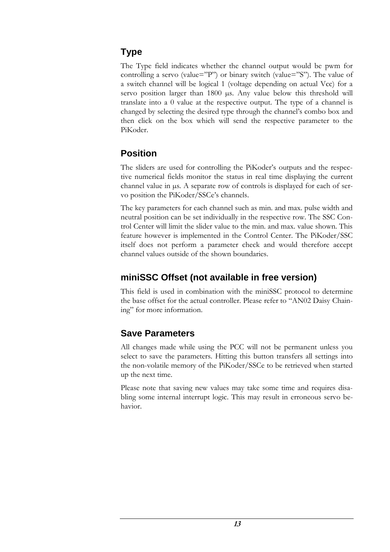### **Type**

The Type field indicates whether the channel output would be pwm for controlling a servo (value="P") or binary switch (value="S"). The value of a switch channel will be logical 1 (voltage depending on actual Vcc) for a servo position larger than 1800 µs. Any value below this threshold will translate into a 0 value at the respective output. The type of a channel is changed by selecting the desired type through the channel's combo box and then click on the box which will send the respective parameter to the PiKoder.

### **Position**

The sliders are used for controlling the PiKoder's outputs and the respective numerical fields monitor the status in real time displaying the current channel value in µs. A separate row of controls is displayed for each of servo position the PiKoder/SSCe's channels.

The key parameters for each channel such as min. and max. pulse width and neutral position can be set individually in the respective row. The SSC Control Center will limit the slider value to the min. and max. value shown. This feature however is implemented in the Control Center. The PiKoder/SSC itself does not perform a parameter check and would therefore accept channel values outside of the shown boundaries.

### **miniSSC Offset (not available in free version)**

This field is used in combination with the miniSSC protocol to determine the base offset for the actual controller. Please refer to "AN02 Daisy Chaining" for more information.

### **Save Parameters**

All changes made while using the PCC will not be permanent unless you select to save the parameters. Hitting this button transfers all settings into the non-volatile memory of the PiKoder/SSCe to be retrieved when started up the next time.

Please note that saving new values may take some time and requires disabling some internal interrupt logic. This may result in erroneous servo behavior.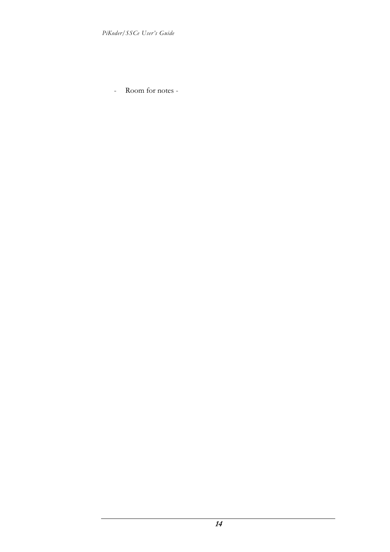- Room for notes -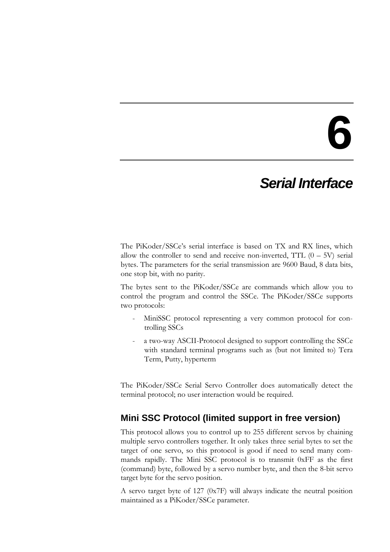### *Serial Interface*

The PiKoder/SSCe's serial interface is based on TX and RX lines, which allow the controller to send and receive non-inverted, TTL  $(0 - 5V)$  serial bytes. The parameters for the serial transmission are 9600 Baud, 8 data bits, one stop bit, with no parity.

The bytes sent to the PiKoder/SSCe are commands which allow you to control the program and control the SSCe. The PiKoder/SSCe supports two protocols:

- MiniSSC protocol representing a very common protocol for controlling SSCs
- a two-way ASCII-Protocol designed to support controlling the SSCe with standard terminal programs such as (but not limited to) Tera Term, Putty, hyperterm

The PiKoder/SSCe Serial Servo Controller does automatically detect the terminal protocol; no user interaction would be required.

### **Mini SSC Protocol (limited support in free version)**

This protocol allows you to control up to 255 different servos by chaining multiple servo controllers together. It only takes three serial bytes to set the target of one servo, so this protocol is good if need to send many commands rapidly. The Mini SSC protocol is to transmit 0xFF as the first (command) byte, followed by a servo number byte, and then the 8-bit servo target byte for the servo position.

A servo target byte of 127 (0x7F) will always indicate the neutral position maintained as a PiKoder/SSCe parameter.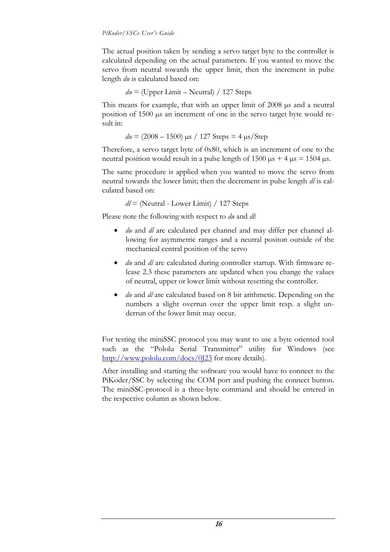The actual position taken by sending a servo target byte to the controller is calculated depending on the actual parameters. If you wanted to move the servo from neutral towards the upper limit, then the increment in pulse length *du* is calculated based on:

$$
du =
$$
 (Upper Limit – Neutral) / 127 Steps

This means for example, that with an upper limit of 2008  $\mu$ s and a neutral position of 1500 µs an increment of one in the servo target byte would result in:

 $du = (2008 - 1500)$   $\mu$ s / 127 Steps = 4  $\mu$ s/Step

Therefore, a servo target byte of 0x80, which is an increment of one to the neutral position would result in a pulse length of  $1500 \text{ }\mu\text{s} + 4 \text{ }\mu\text{s} = 1504 \text{ }\mu\text{s}$ .

The same procedure is applied when you wanted to move the servo from neutral towards the lower limit; then the decrement in pulse length *dl* is calculated based on:

*dl* = (Neutral - Lower Limit) / 127 Steps

Please note the following with respect to *du* and *dl*:

- *du* and *dl* are calculated per channel and may differ per channel allowing for asymmetric ranges and a neutral positon outside of the mechanical central position of the servo
- *du* and *dl* are calculated during controller startup. With firmware release 2.3 these parameters are updated when you change the values of neutral, upper or lower limit without resetting the controller.
- *du* and *dl* are calculated based on 8 bit arithmetic. Depending on the numbers a slight overrun over the upper limit resp. a slight underrun of the lower limit may occur.

For testing the miniSSC protocol you may want to use a byte oriented tool such as the "[Pololu Serial Transmitter](http://www.pololu.com/docs/0J23)" utility for Windows (see <http://www.pololu.com/docs/0J23> for more details).

After installing and starting the software you would have to connect to the PiKoder/SSC by selecting the COM port and pushing the connect button. The miniSSC-protocol is a three-byte command and should be entered in the respective column as shown below.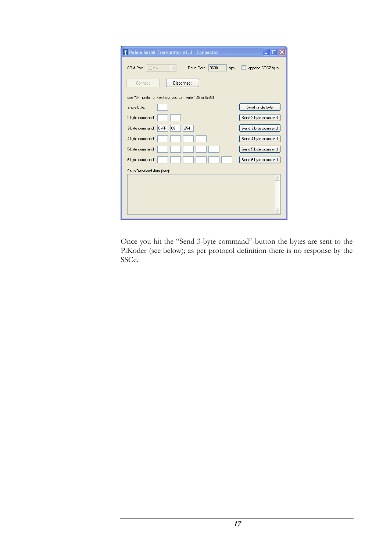| <b>* Pololu Serial Transmitter v1.3 - Connected</b>                 |                     |
|---------------------------------------------------------------------|---------------------|
| 9600<br>COM Port<br>COM4<br><b>Baud Rate</b><br>bps<br>$\checkmark$ | append CRC7 byte    |
| Connect<br>Disconnect                                               |                     |
| use "0x" prefix for hex [e.g. you can write 128 or 0x80]            |                     |
| single byte:                                                        | Send single byte    |
| 2-byte command:                                                     | Send 2-byte command |
| 0xFF<br>254<br>08<br>3-byte command:                                | Send 3-byte command |
| 4-byte command:                                                     | Send 4-byte command |
| 5-byte command:                                                     | Send 5-byte command |
| 6-byte command:                                                     | Send 6-byte command |
| Sent/Received data (hex):                                           |                     |
|                                                                     |                     |
|                                                                     |                     |
|                                                                     |                     |
|                                                                     |                     |

Once you hit the "Send 3-byte command"-button the bytes are sent to the PiKoder (see below); as per protocol definition there is no response by the SSCe.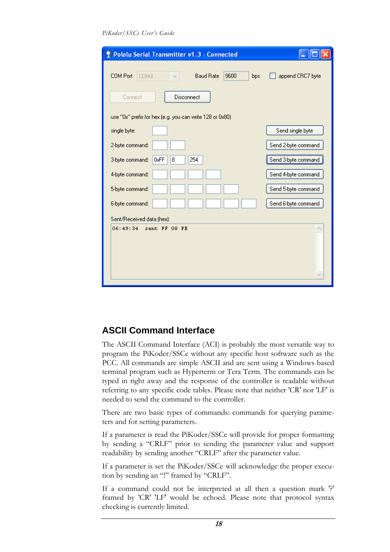*PiKoder/SSCe User's Guide*

| 李 Pololu Serial Transmitter v1.3 - Connected              |                     |
|-----------------------------------------------------------|---------------------|
| 9600<br>COM Port<br><b>Baud Rate</b><br>COM4<br>bps       | append CRC7 byte    |
| Connect<br>Disconnect                                     |                     |
| use "0x" prefix for hex (e.g. you can write 128 or 0x80). |                     |
| single byte:                                              | Send single byte    |
| 2-byte command:                                           | Send 2-byte command |
| 254<br>0xFF<br>8<br>3-byte command:                       | Send 3-byte command |
| 4-byte command:                                           | Send 4-byte command |
| 5-byte command:                                           | Send 5-byte command |
| 6-byte command:                                           | Send 6-byte command |
| Sent/Received data (hex):                                 |                     |
| 06:49:34<br>sent FF 08 FE                                 | $\curvearrowright$  |
|                                                           |                     |

### **ASCII Command Interface**

The ASCII Command Interface (ACI) is probably the most versatile way to program the PiKoder/SSCe without any specific host software such as the PCC. All commands are simple ASCII and are sent using a Windows based terminal program such as Hyperterm or Tera Term. The commands can be typed in right away and the response of the controller is readable without referring to any specific code tables. Please note that neither 'CR' nor 'LF' is needed to send the command to the controller.

There are two basic types of commands: commands for querying parameters and for setting parameters.

If a parameter is read the PiKoder/SSCe will provide for proper formatting by sending a "CRLF" prior to sending the parameter value and support readability by sending another "CRLF" after the parameter value.

If a parameter is set the PiKoder/SSCe will acknowledge the proper execution by sending an "!" framed by "CRLF".

If a command could not be interpreted at all then a question mark '?' framed by 'CR' 'LF' would be echoed. Please note that protocol syntax checking is currently limited.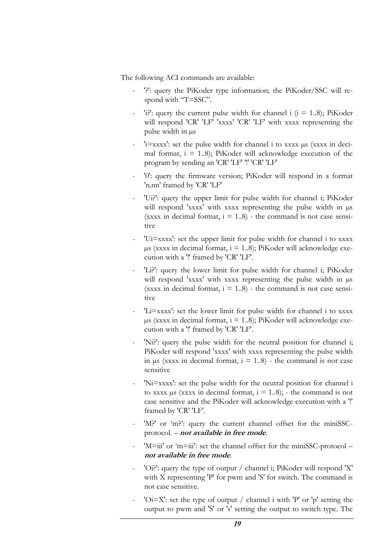The following ACI commands are available:

- '?': query the PiKoder type information; the PiKoder/SSC will respond with "T=SSC".
- 'i?': query the current pulse width for channel i  $(i = 1..8)$ ; PiKoder will respond 'CR' 'LF' 'xxxx' 'CR' 'LF' with xxxx representing the pulse width in µs
- 'i=xxxx': set the pulse width for channel i to xxxx µs (xxxx in decimal format,  $i = 1.8$ ; PiKoder will acknowledge execution of the program by sending an 'CR' 'LF' '!' 'CR' 'LF'
- '0': query the firmware version; PiKoder will respond in a format 'n.nn' framed by 'CR' 'LF'
- 'Ui?': query the upper limit for pulse width for channel i; PiKoder will respond 'xxxx' with xxxx representing the pulse width in  $\mu s$ (xxxx in decimal format,  $i = 1..8$ ) - the command is not case sensitive
- 'Ui=xxxx': set the upper limit for pulse width for channel i to xxxx  $\mu$ s (xxxx in decimal format, i = 1..8); PiKoder will acknowledge execution with a '!' framed by 'CR' 'LF'.
- 'Li?': query the lower limit for pulse width for channel i; PiKoder will respond 'xxxx' with xxxx representing the pulse width in  $\mu$ s (xxxx in decimal format,  $i = 1..8$ ) - the command is not case sensitive
- 'Li=xxxx': set the lower limit for pulse width for channel i to xxxx  $\mu$ s (xxxx in decimal format, i = 1..8); PiKoder will acknowledge execution with a '!' framed by 'CR' 'LF'.
- 'Ni?': query the pulse width for the neutral position for channel i; PiKoder will respond 'xxxx' with xxxx representing the pulse width in  $\mu$ s (xxxx in decimal format, i = 1..8) - the command is not case sensitive
- 'Ni=xxxx': set the pulse width for the neutral position for channel i to xxxx  $\mu$ s (xxxx in decimal format,  $i = 1..8$ ); - the command is not case sensitive and the PiKoder will acknowledge execution with a '!' framed by 'CR' 'LF'.
- 'M?' or 'm?': query the current channel offset for the miniSSCprotocol. – **not available in free mode**.
- 'M=iii' or 'm=iii': set the channel offset for the miniSSC-protocol **not available in free mode**.
- 'Oi?': query the type of output / channel i; PiKoder will respond 'X' with X representing 'P' for pwm and 'S' for switch. The command is not case sensitive.
- ' $Oi=X'$ : set the type of output / channel i with 'P' or 'p' setting the output to pwm and 'S' or 's' setting the output to switch type. The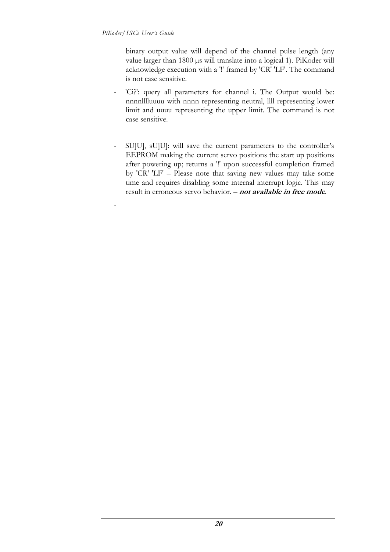-

binary output value will depend of the channel pulse length (any value larger than 1800 µs will translate into a logical 1). PiKoder will acknowledge execution with a '!' framed by 'CR' 'LF'. The command is not case sensitive.

- 'Ci?': query all parameters for channel i. The Output would be: nnnnlllluuuu with nnnn representing neutral, llll representing lower limit and uuuu representing the upper limit. The command is not case sensitive.
- SU]U], sU]U]: will save the current parameters to the controller's EEPROM making the current servo positions the start up positions after powering up; returns a '!' upon successful completion framed by 'CR' 'LF' – Please note that saving new values may take some time and requires disabling some internal interrupt logic. This may result in erroneous servo behavior. – **not available in free mode**.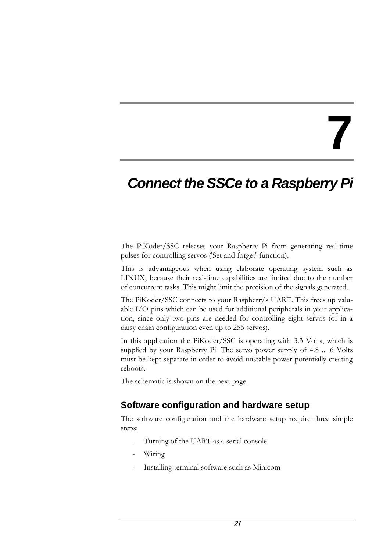### *Connect the SSCe to a Raspberry Pi*

The PiKoder/SSC releases your Raspberry Pi from generating real-time pulses for controlling servos ('Set and forget'-function).

This is advantageous when using elaborate operating system such as LINUX, because their real-time capabilities are limited due to the number of concurrent tasks. This might limit the precision of the signals generated.

The PiKoder/SSC connects to your Raspberry's UART. This frees up valuable I/O pins which can be used for additional peripherals in your application, since only two pins are needed for controlling eight servos (or in a daisy chain configuration even up to 255 servos).

In this application the PiKoder/SSC is operating with 3.3 Volts, which is supplied by your Raspberry Pi. The servo power supply of 4.8 ... 6 Volts must be kept separate in order to avoid unstable power potentially creating reboots.

The schematic is shown on the next page.

### **Software configuration and hardware setup**

The software configuration and the hardware setup require three simple steps:

- Turning of the UART as a serial console
- Wiring
- Installing terminal software such as Minicom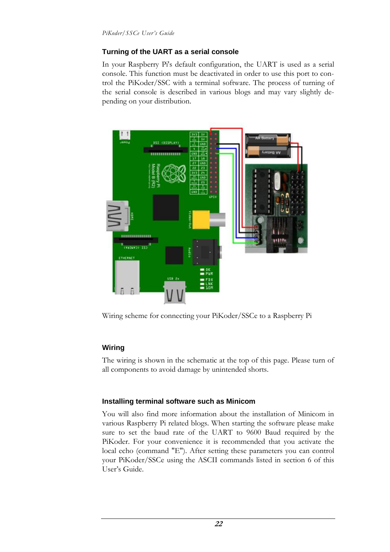#### **Turning of the UART as a serial console**

In your Raspberry Pi's default configuration, the UART is used as a serial console. This function must be deactivated in order to use this port to control the PiKoder/SSC with a terminal software. The process of turning of the serial console is described in various blogs and may vary slightly depending on your distribution.



Wiring scheme for connecting your PiKoder/SSCe to a Raspberry Pi

#### **Wiring**

The wiring is shown in the schematic at the top of this page. Please turn of all components to avoid damage by unintended shorts.

#### **Installing terminal software such as Minicom**

You will also find more information about the installation of Minicom in various Raspberry Pi related blogs. When starting the software please make sure to set the baud rate of the UART to 9600 Baud required by the PiKoder. For your convenience it is recommended that you activate the local echo (command "E"). After setting these parameters you can control your PiKoder/SSCe using the ASCII commands listed in section 6 of this User's Guide.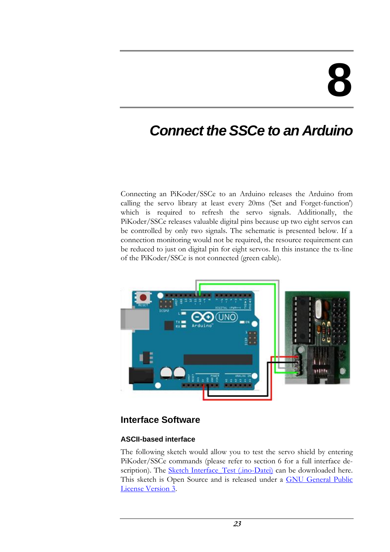### *Connect the SSCe to an Arduino*

Connecting an PiKoder/SSCe to an Arduino releases the Arduino from calling the servo library at least every 20ms ('Set and Forget-function') which is required to refresh the servo signals. Additionally, the PiKoder/SSCe releases valuable digital pins because up two eight servos can be controlled by only two signals. The schematic is presented below. If a connection monitoring would not be required, the resource requirement can be reduced to just on digital pin for eight servos. In this instance the tx-line of the PiKoder/SSCe is not connected (green cable).



### **Interface Software**

#### **ASCII-based interface**

The following sketch would allow you to test the servo shield by entering PiKoder/SSCe commands (please refer to section 6 for a full interface de-scription). The [Sketch Interface\\_Test \(.ino-Datei\)](http://www.pikoder.de/download/Interface_Test.zip) can be downloaded here. This sketch is Open Source and is released under a [GNU General Public](http://www.gnu.org/licenses/gpl-3.0-standalone.html)  [License Version 3.](http://www.gnu.org/licenses/gpl-3.0-standalone.html)